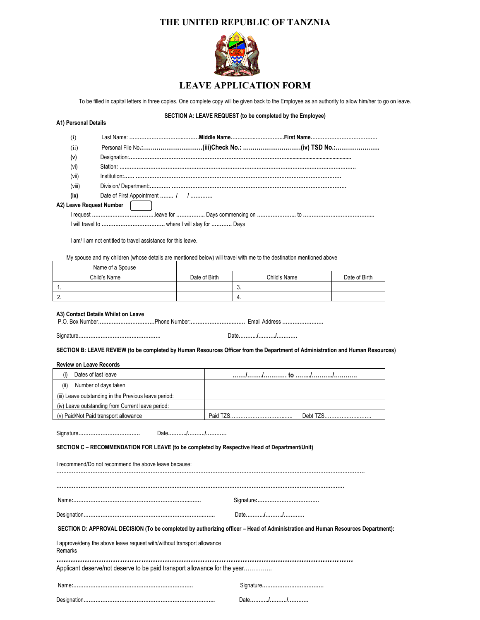## **THE UNITED REPUBLIC OF TANZNIA**



## **LEAVE APPLICATION FORM**

To be filled in capital letters in three copies. One complete copy will be given back to the Employee as an authority to allow him/her to go on leave.

## **SECTION A: LEAVE REQUEST (to be completed by the Employee)**

**A1) Personal Details**

| (i)                                                                                                                                                             |                                                                           |               |                                                                                                                                |               |  |  |
|-----------------------------------------------------------------------------------------------------------------------------------------------------------------|---------------------------------------------------------------------------|---------------|--------------------------------------------------------------------------------------------------------------------------------|---------------|--|--|
| (ii)                                                                                                                                                            |                                                                           |               |                                                                                                                                |               |  |  |
| (v)                                                                                                                                                             |                                                                           |               |                                                                                                                                |               |  |  |
| (vi)                                                                                                                                                            |                                                                           |               |                                                                                                                                |               |  |  |
| (vii)                                                                                                                                                           |                                                                           |               |                                                                                                                                |               |  |  |
| (viii)                                                                                                                                                          |                                                                           |               |                                                                                                                                |               |  |  |
| (ix)                                                                                                                                                            | Date of First Appointment  / /                                            |               |                                                                                                                                |               |  |  |
|                                                                                                                                                                 | A2) Leave Request Number                                                  |               |                                                                                                                                |               |  |  |
|                                                                                                                                                                 |                                                                           |               |                                                                                                                                |               |  |  |
|                                                                                                                                                                 |                                                                           |               |                                                                                                                                |               |  |  |
|                                                                                                                                                                 | I am/I am not entitled to travel assistance for this leave.               |               |                                                                                                                                |               |  |  |
|                                                                                                                                                                 |                                                                           |               | My spouse and my children (whose details are mentioned below) will travel with me to the destination mentioned above           |               |  |  |
|                                                                                                                                                                 | Name of a Spouse                                                          |               |                                                                                                                                |               |  |  |
|                                                                                                                                                                 | Child's Name                                                              | Date of Birth | Child's Name                                                                                                                   | Date of Birth |  |  |
| 1.                                                                                                                                                              |                                                                           |               | 3.                                                                                                                             |               |  |  |
| 2.                                                                                                                                                              |                                                                           |               | 4.                                                                                                                             |               |  |  |
| A3) Contact Details Whilst on Leave                                                                                                                             |                                                                           |               |                                                                                                                                |               |  |  |
|                                                                                                                                                                 |                                                                           |               | Date//                                                                                                                         |               |  |  |
|                                                                                                                                                                 |                                                                           |               | SECTION B: LEAVE REVIEW (to be completed by Human Resources Officer from the Department of Administration and Human Resources) |               |  |  |
|                                                                                                                                                                 |                                                                           |               |                                                                                                                                |               |  |  |
| <b>Review on Leave Records</b>                                                                                                                                  |                                                                           |               |                                                                                                                                |               |  |  |
| (i)                                                                                                                                                             | Dates of last leave                                                       |               |                                                                                                                                |               |  |  |
| (ii)                                                                                                                                                            | Number of days taken                                                      |               |                                                                                                                                |               |  |  |
|                                                                                                                                                                 | (iii) Leave outstanding in the Previous leave period:                     |               |                                                                                                                                |               |  |  |
|                                                                                                                                                                 | (iv) Leave outstanding from Current leave period:                         |               |                                                                                                                                |               |  |  |
|                                                                                                                                                                 | (v) Paid/Not Paid transport allowance                                     |               |                                                                                                                                | Debt TZS      |  |  |
| Date//<br>SECTION C - RECOMMENDATION FOR LEAVE (to be completed by Respective Head of Department/Unit)<br>I recommend/Do not recommend the above leave because: |                                                                           |               |                                                                                                                                |               |  |  |
|                                                                                                                                                                 |                                                                           |               |                                                                                                                                |               |  |  |
|                                                                                                                                                                 |                                                                           |               |                                                                                                                                |               |  |  |
|                                                                                                                                                                 | Date//                                                                    |               |                                                                                                                                |               |  |  |
|                                                                                                                                                                 |                                                                           |               | SECTION D: APPROVAL DECISION (To be completed by authorizing officer - Head of Administration and Human Resources Department): |               |  |  |
| Remarks                                                                                                                                                         | I approve/deny the above leave request with/without transport allowance   |               |                                                                                                                                |               |  |  |
|                                                                                                                                                                 | Applicant deserve/not deserve to be paid transport allowance for the year |               |                                                                                                                                |               |  |  |
|                                                                                                                                                                 |                                                                           |               |                                                                                                                                |               |  |  |
|                                                                                                                                                                 |                                                                           |               | Date//                                                                                                                         |               |  |  |